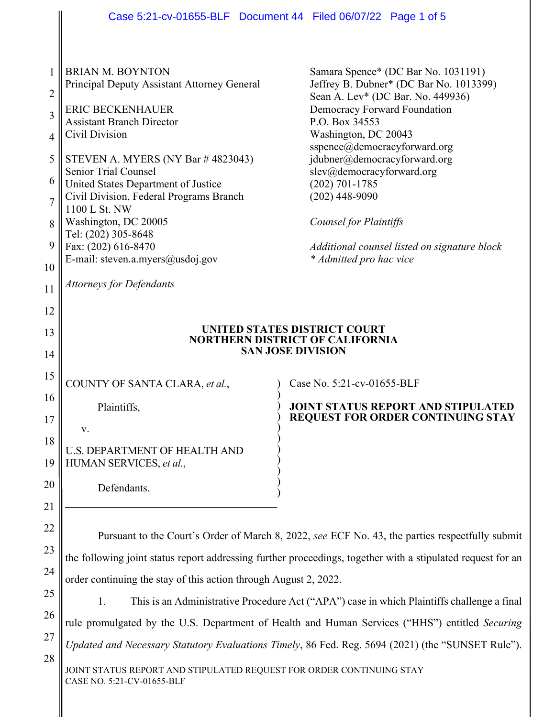|                | Case 5:21-cv-01655-BLF  Document 44  Filed 06/07/22  Page 1 of 5                                            |                                                                                                   |
|----------------|-------------------------------------------------------------------------------------------------------------|---------------------------------------------------------------------------------------------------|
|                |                                                                                                             |                                                                                                   |
|                |                                                                                                             |                                                                                                   |
| 1              | <b>BRIAN M. BOYNTON</b>                                                                                     | Samara Spence* (DC Bar No. 1031191)                                                               |
| $\overline{2}$ | Principal Deputy Assistant Attorney General                                                                 | Jeffrey B. Dubner* (DC Bar No. 1013399)                                                           |
|                | <b>ERIC BECKENHAUER</b>                                                                                     | Sean A. Lev* (DC Bar. No. 449936)<br><b>Democracy Forward Foundation</b>                          |
| 3              | <b>Assistant Branch Director</b>                                                                            | P.O. Box 34553                                                                                    |
| 4              | Civil Division                                                                                              | Washington, DC 20043<br>sspence@democracyforward.org                                              |
| 5              | STEVEN A. MYERS (NY Bar #4823043)                                                                           | jdubner@democracyforward.org                                                                      |
| 6              | <b>Senior Trial Counsel</b>                                                                                 | slev@democracyforward.org                                                                         |
|                | United States Department of Justice<br>Civil Division, Federal Programs Branch                              | $(202) 701 - 1785$<br>$(202)$ 448-9090                                                            |
| $\overline{7}$ | 1100 L St. NW                                                                                               |                                                                                                   |
| 8              | Washington, DC 20005                                                                                        | Counsel for Plaintiffs                                                                            |
| 9              | Tel: (202) 305-8648<br>Fax: (202) 616-8470                                                                  | Additional counsel listed on signature block                                                      |
|                | E-mail: steven.a.myers@usdoj.gov                                                                            | * Admitted pro hac vice                                                                           |
| 10             |                                                                                                             |                                                                                                   |
| 11             | <b>Attorneys for Defendants</b>                                                                             |                                                                                                   |
| 12             |                                                                                                             |                                                                                                   |
| 13             |                                                                                                             | UNITED STATES DISTRICT COURT                                                                      |
| 14             | <b>NORTHERN DISTRICT OF CALIFORNIA</b><br><b>SAN JOSE DIVISION</b>                                          |                                                                                                   |
|                |                                                                                                             |                                                                                                   |
| 15             | COUNTY OF SANTA CLARA, et al.,                                                                              | Case No. 5:21-cv-01655-BLF                                                                        |
| 16             | Plaintiffs,                                                                                                 | <b>JOINT STATUS REPORT AND STIPULATED</b>                                                         |
| 17             |                                                                                                             | <b>REQUEST FOR ORDER CONTINUING STAY</b>                                                          |
| 18             | v.                                                                                                          |                                                                                                   |
| 19             | <b>U.S. DEPARTMENT OF HEALTH AND</b><br>HUMAN SERVICES, et al.,                                             |                                                                                                   |
|                |                                                                                                             |                                                                                                   |
| 20             | Defendants.                                                                                                 |                                                                                                   |
| 21             |                                                                                                             |                                                                                                   |
| 22             |                                                                                                             |                                                                                                   |
| 23             | Pursuant to the Court's Order of March 8, 2022, see ECF No. 43, the parties respectfully submit             |                                                                                                   |
|                | the following joint status report addressing further proceedings, together with a stipulated request for an |                                                                                                   |
| 24             | order continuing the stay of this action through August 2, 2022.                                            |                                                                                                   |
| 25             | This is an Administrative Procedure Act ("APA") case in which Plaintiffs challenge a final<br>1.            |                                                                                                   |
| 26             |                                                                                                             | rule promulgated by the U.S. Department of Health and Human Services ("HHS") entitled Securing    |
| 27             |                                                                                                             | Updated and Necessary Statutory Evaluations Timely, 86 Fed. Reg. 5694 (2021) (the "SUNSET Rule"). |
| 28             |                                                                                                             |                                                                                                   |
|                | JOINT STATUS REPORT AND STIPULATED REQUEST FOR ORDER CONTINUING STAY<br>CASE NO. 5:21-CV-01655-BLF          |                                                                                                   |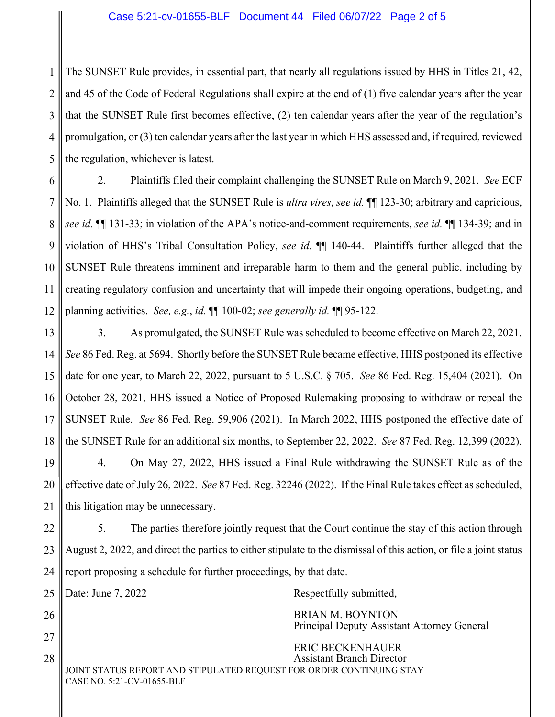## Case 5:21-cv-01655-BLF Document 44 Filed 06/07/22 Page 2 of 5

1 2 3 4 5 The SUNSET Rule provides, in essential part, that nearly all regulations issued by HHS in Titles 21, 42, and 45 of the Code of Federal Regulations shall expire at the end of (1) five calendar years after the year that the SUNSET Rule first becomes effective, (2) ten calendar years after the year of the regulation's promulgation, or (3) ten calendar years after the last year in which HHS assessed and, if required, reviewed the regulation, whichever is latest.

6 7 8 9 10 11 12 2. Plaintiffs filed their complaint challenging the SUNSET Rule on March 9, 2021. *See* ECF No. 1. Plaintiffs alleged that the SUNSET Rule is *ultra vires*, *see id.* ¶¶ 123-30; arbitrary and capricious, *see id.* ¶¶ 131-33; in violation of the APA's notice-and-comment requirements, *see id.* ¶¶ 134-39; and in violation of HHS's Tribal Consultation Policy, *see id.* ¶¶ 140-44. Plaintiffs further alleged that the SUNSET Rule threatens imminent and irreparable harm to them and the general public, including by creating regulatory confusion and uncertainty that will impede their ongoing operations, budgeting, and planning activities. *See, e.g.*, *id.* ¶¶ 100-02; *see generally id.* ¶¶ 95-122.

13 14 15 16 17 18 19 20 21 3. As promulgated, the SUNSET Rule was scheduled to become effective on March 22, 2021. *See* 86 Fed. Reg. at 5694. Shortly before the SUNSET Rule became effective, HHS postponed its effective date for one year, to March 22, 2022, pursuant to 5 U.S.C. § 705. *See* 86 Fed. Reg. 15,404 (2021). On October 28, 2021, HHS issued a Notice of Proposed Rulemaking proposing to withdraw or repeal the SUNSET Rule. *See* 86 Fed. Reg. 59,906 (2021). In March 2022, HHS postponed the effective date of the SUNSET Rule for an additional six months, to September 22, 2022. *See* 87 Fed. Reg. 12,399 (2022). 4. On May 27, 2022, HHS issued a Final Rule withdrawing the SUNSET Rule as of the effective date of July 26, 2022. *See* 87 Fed. Reg. 32246 (2022). If the Final Rule takes effect as scheduled, this litigation may be unnecessary.

22 23 24 5. The parties therefore jointly request that the Court continue the stay of this action through August 2, 2022, and direct the parties to either stipulate to the dismissal of this action, or file a joint status report proposing a schedule for further proceedings, by that date.

25

26

27

28

Date: June 7, 2022 Respectfully submitted,

 BRIAN M. BOYNTON Principal Deputy Assistant Attorney General

JOINT STATUS REPORT AND STIPULATED REQUEST FOR ORDER CONTINUING STAY CASE NO. 5:21-CV-01655-BLF ERIC BECKENHAUER Assistant Branch Director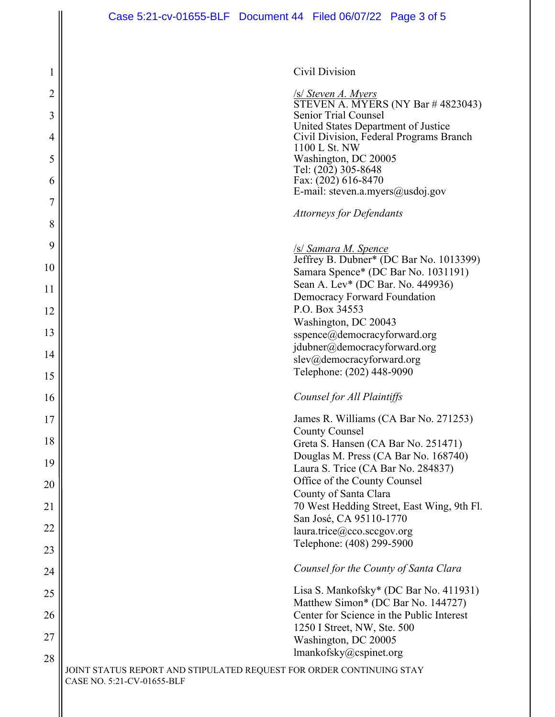| <b>Civil Division</b> |
|-----------------------|
|                       |

/s/ *Steven A. Myers*  STEVEN A. MYERS (NY Bar # 4823043) Senior Trial Counsel United States Department of Justice Civil Division, Federal Programs Branch 1100 L St. NW Washington, DC 20005 Tel: (202) 305-8648 Fax: (202) 616-8470 E-mail: steven.a.myers@usdoj.gov

*Attorneys for Defendants*

/s/ *Samara M. Spence* 

Jeffrey B. Dubner\* (DC Bar No. 1013399) Samara Spence\* (DC Bar No. 1031191) Sean A. Lev\* (DC Bar. No. 449936) Democracy Forward Foundation P.O. Box 34553 Washington, DC 20043 sspence@democracyforward.org jdubner@democracyforward.org slev@democracyforward.org Telephone: (202) 448-9090

## *Counsel for All Plaintiffs*

James R. Williams (CA Bar No. 271253) County Counsel Greta S. Hansen (CA Bar No. 251471) Douglas M. Press (CA Bar No. 168740) Laura S. Trice (CA Bar No. 284837) Office of the County Counsel County of Santa Clara 70 West Hedding Street, East Wing, 9th Fl. San José, CA 95110-1770 laura.trice@cco.sccgov.org Telephone: (408) 299-5900

## *Counsel for the County of Santa Clara*

Lisa S. Mankofsky\* (DC Bar No. 411931) Matthew Simon\* (DC Bar No. 144727) Center for Science in the Public Interest 1250 I Street, NW, Ste. 500 Washington, DC 20005 lmankofsky@cspinet.org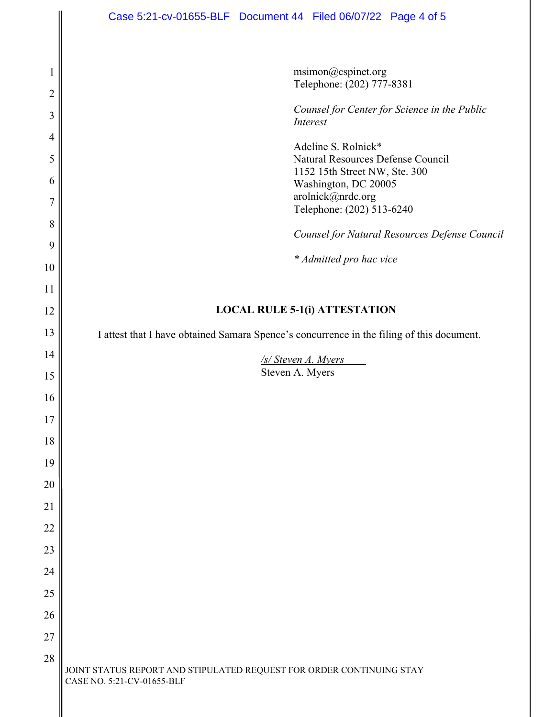|                | Case 5:21-cv-01655-BLF  Document 44  Filed 06/07/22  Page 4 of 5                                   |
|----------------|----------------------------------------------------------------------------------------------------|
|                |                                                                                                    |
|                | msimon@cspinet.org                                                                                 |
| $\overline{2}$ | Telephone: (202) 777-8381                                                                          |
| 3              | Counsel for Center for Science in the Public<br>Interest                                           |
| 4              | Adeline S. Rolnick*                                                                                |
| 5              | Natural Resources Defense Council<br>1152 15th Street NW, Ste. 300                                 |
| 6              | Washington, DC 20005                                                                               |
| $\overline{7}$ | arolnick@nrdc.org<br>Telephone: (202) 513-6240                                                     |
| 8<br>9         | Counsel for Natural Resources Defense Council                                                      |
| 10             | * Admitted pro hac vice                                                                            |
| 11             |                                                                                                    |
| 12             | <b>LOCAL RULE 5-1(i) ATTESTATION</b>                                                               |
| 13             | I attest that I have obtained Samara Spence's concurrence in the filing of this document.          |
| 14             | /s/ Steven A. Myers                                                                                |
| 15             | Steven A. Myers                                                                                    |
| 16             |                                                                                                    |
| 17             |                                                                                                    |
| 18             |                                                                                                    |
| 19             |                                                                                                    |
| 20             |                                                                                                    |
| 21             |                                                                                                    |
| 22             |                                                                                                    |
| 23             |                                                                                                    |
| 24             |                                                                                                    |
| 25             |                                                                                                    |
| 26             |                                                                                                    |
| 27             |                                                                                                    |
| 28             | JOINT STATUS REPORT AND STIPULATED REQUEST FOR ORDER CONTINUING STAY<br>CASE NO. 5:21-CV-01655-BLF |

II